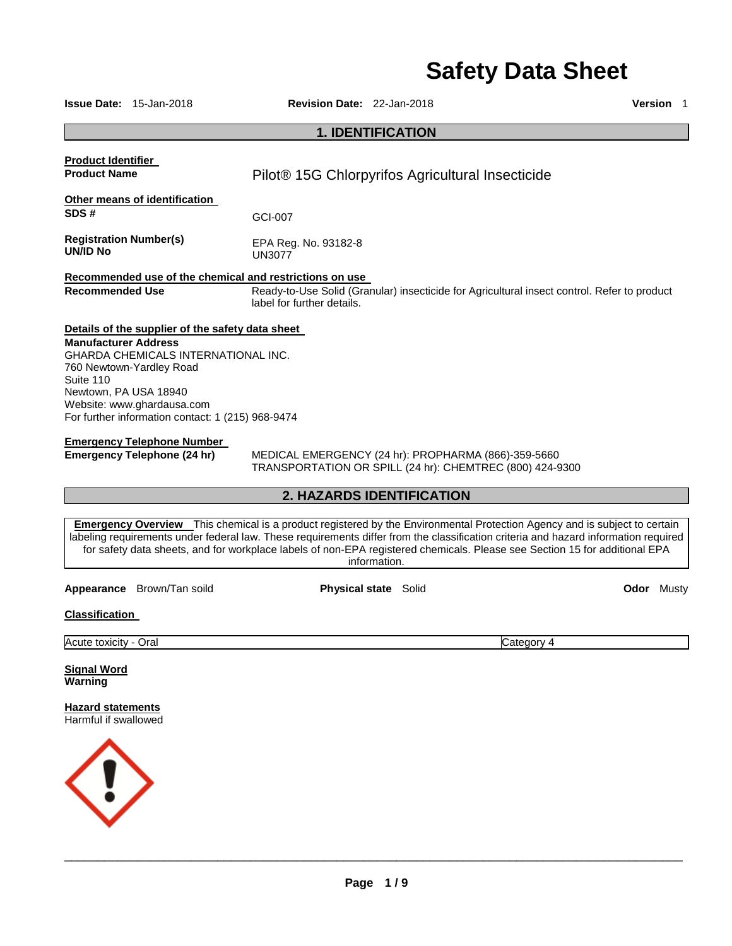# **Safety Data Sheet**

|                                                                                   | <b>Issue Date: 15-Jan-2018</b>                                                                                                                                                                                                                                                    | <b>Revision Date: 22-Jan-2018</b>                                                     |                             |                                                                                                                                                                                                                                                                                                                                                                                                       | <b>Version</b> 1  |  |
|-----------------------------------------------------------------------------------|-----------------------------------------------------------------------------------------------------------------------------------------------------------------------------------------------------------------------------------------------------------------------------------|---------------------------------------------------------------------------------------|-----------------------------|-------------------------------------------------------------------------------------------------------------------------------------------------------------------------------------------------------------------------------------------------------------------------------------------------------------------------------------------------------------------------------------------------------|-------------------|--|
|                                                                                   |                                                                                                                                                                                                                                                                                   |                                                                                       | <b>1. IDENTIFICATION</b>    |                                                                                                                                                                                                                                                                                                                                                                                                       |                   |  |
| <b>Product Identifier</b><br><b>Product Name</b>                                  |                                                                                                                                                                                                                                                                                   | Pilot <sup>®</sup> 15G Chlorpyrifos Agricultural Insecticide                          |                             |                                                                                                                                                                                                                                                                                                                                                                                                       |                   |  |
| SDS#                                                                              | Other means of identification                                                                                                                                                                                                                                                     | GCI-007                                                                               |                             |                                                                                                                                                                                                                                                                                                                                                                                                       |                   |  |
| <b>Registration Number(s)</b><br><b>UN/ID No</b>                                  |                                                                                                                                                                                                                                                                                   | EPA Reg. No. 93182-8<br><b>UN3077</b>                                                 |                             |                                                                                                                                                                                                                                                                                                                                                                                                       |                   |  |
| <b>Recommended Use</b>                                                            |                                                                                                                                                                                                                                                                                   | Recommended use of the chemical and restrictions on use<br>label for further details. |                             | Ready-to-Use Solid (Granular) insecticide for Agricultural insect control. Refer to product                                                                                                                                                                                                                                                                                                           |                   |  |
| <b>Manufacturer Address</b><br>Suite 110<br>Newtown, PA USA 18940                 | Details of the supplier of the safety data sheet<br>GHARDA CHEMICALS INTERNATIONAL INC.<br>760 Newtown-Yardley Road<br>Website: www.ghardausa.com<br>For further information contact: 1 (215) 968-9474<br><b>Emergency Telephone Number</b><br><b>Emergency Telephone (24 hr)</b> | MEDICAL EMERGENCY (24 hr): PROPHARMA (866)-359-5660                                   |                             | TRANSPORTATION OR SPILL (24 hr): CHEMTREC (800) 424-9300                                                                                                                                                                                                                                                                                                                                              |                   |  |
|                                                                                   |                                                                                                                                                                                                                                                                                   |                                                                                       | 2. HAZARDS IDENTIFICATION   |                                                                                                                                                                                                                                                                                                                                                                                                       |                   |  |
|                                                                                   |                                                                                                                                                                                                                                                                                   |                                                                                       | information.                | <b>Emergency Overview</b> This chemical is a product registered by the Environmental Protection Agency and is subject to certain<br>labeling requirements under federal law. These requirements differ from the classification criteria and hazard information required<br>for safety data sheets, and for workplace labels of non-EPA registered chemicals. Please see Section 15 for additional EPA |                   |  |
|                                                                                   | Appearance Brown/Tan soild                                                                                                                                                                                                                                                        |                                                                                       | <b>Physical state</b> Solid |                                                                                                                                                                                                                                                                                                                                                                                                       | <b>Odor</b> Musty |  |
| <b>Classification</b>                                                             |                                                                                                                                                                                                                                                                                   |                                                                                       |                             |                                                                                                                                                                                                                                                                                                                                                                                                       |                   |  |
| Acute toxicity - Oral                                                             |                                                                                                                                                                                                                                                                                   |                                                                                       |                             | Category 4                                                                                                                                                                                                                                                                                                                                                                                            |                   |  |
| <b>Signal Word</b><br>Warning                                                     |                                                                                                                                                                                                                                                                                   |                                                                                       |                             |                                                                                                                                                                                                                                                                                                                                                                                                       |                   |  |
| <b>Hazard statements</b><br>Harmful if swallowed<br>$\langle \, \vert \, \rangle$ |                                                                                                                                                                                                                                                                                   |                                                                                       |                             |                                                                                                                                                                                                                                                                                                                                                                                                       |                   |  |
|                                                                                   |                                                                                                                                                                                                                                                                                   |                                                                                       |                             |                                                                                                                                                                                                                                                                                                                                                                                                       |                   |  |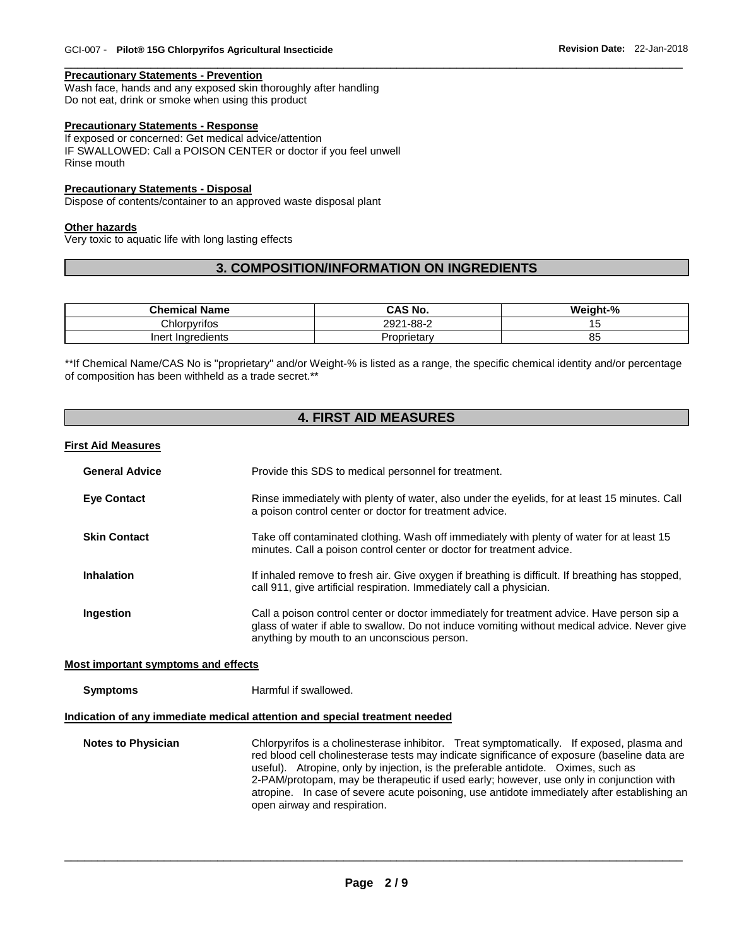#### **Precautionary Statements - Prevention**

Wash face, hands and any exposed skin thoroughly after handling Do not eat, drink or smoke when using this product

#### **Precautionary Statements - Response**

If exposed or concerned: Get medical advice/attention IF SWALLOWED: Call a POISON CENTER or doctor if you feel unwell Rinse mouth

#### **Precautionary Statements - Disposal**

Dispose of contents/container to an approved waste disposal plant

#### **Other hazards**

Very toxic to aquatic life with long lasting effects

#### **3. COMPOSITION/INFORMATION ON INGREDIENTS**

\_\_\_\_\_\_\_\_\_\_\_\_\_\_\_\_\_\_\_\_\_\_\_\_\_\_\_\_\_\_\_\_\_\_\_\_\_\_\_\_\_\_\_\_\_\_\_\_\_\_\_\_\_\_\_\_\_\_\_\_\_\_\_\_\_\_\_\_\_\_\_\_\_\_\_\_\_\_\_\_\_\_\_\_\_\_\_\_\_\_\_\_\_

| <b>Chemical Name</b> | CAS No.       | Weight-% |
|----------------------|---------------|----------|
| Chlorpvrifos         | 1-88-2<br>∘ממ |          |
| Indredients<br>Inert | Proprietary   | oΞ       |

\*\*If Chemical Name/CAS No is "proprietary" and/or Weight-% is listed as a range, the specific chemical identity and/or percentage of composition has been withheld as a trade secret.\*\*

#### **4. FIRST AID MEASURES**

#### **First Aid Measures**

| <b>General Advice</b> | Provide this SDS to medical personnel for treatment.                                                                                                                                                                                      |
|-----------------------|-------------------------------------------------------------------------------------------------------------------------------------------------------------------------------------------------------------------------------------------|
| <b>Eye Contact</b>    | Rinse immediately with plenty of water, also under the eyelids, for at least 15 minutes. Call<br>a poison control center or doctor for treatment advice.                                                                                  |
| <b>Skin Contact</b>   | Take off contaminated clothing. Wash off immediately with plenty of water for at least 15<br>minutes. Call a poison control center or doctor for treatment advice.                                                                        |
| <b>Inhalation</b>     | If inhaled remove to fresh air. Give oxygen if breathing is difficult. If breathing has stopped,<br>call 911, give artificial respiration. Immediately call a physician.                                                                  |
| Ingestion             | Call a poison control center or doctor immediately for treatment advice. Have person sip a<br>glass of water if able to swallow. Do not induce vomiting without medical advice. Never give<br>anything by mouth to an unconscious person. |

#### **Most important symptoms and effects**

**Symptoms Harmful if swallowed.** 

#### **Indication of any immediate medical attention and special treatment needed**

**Notes to Physician** Chlorpyrifos is a cholinesterase inhibitor. Treat symptomatically. If exposed, plasma and red blood cell cholinesterase tests may indicate significance of exposure (baseline data are useful). Atropine, only by injection, is the preferable antidote. Oximes, such as 2-PAM/protopam, may be therapeutic if used early; however, use only in conjunction with atropine. In case of severe acute poisoning, use antidote immediately after establishing an open airway and respiration.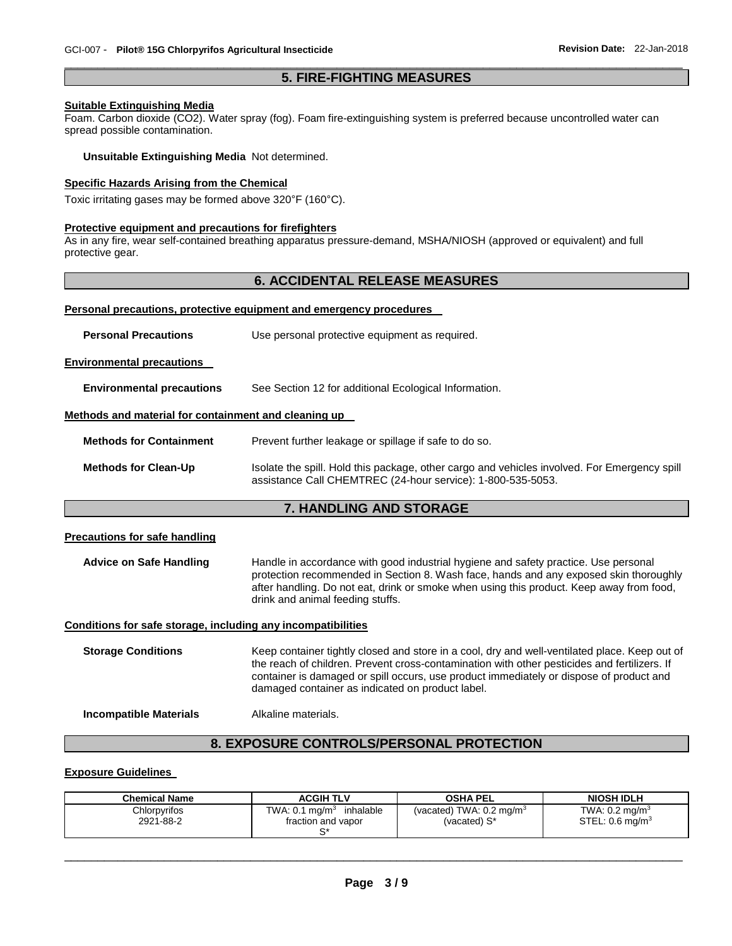#### \_\_\_\_\_\_\_\_\_\_\_\_\_\_\_\_\_\_\_\_\_\_\_\_\_\_\_\_\_\_\_\_\_\_\_\_\_\_\_\_\_\_\_\_\_\_\_\_\_\_\_\_\_\_\_\_\_\_\_\_\_\_\_\_\_\_\_\_\_\_\_\_\_\_\_\_\_\_\_\_\_\_\_\_\_\_\_\_\_\_\_\_\_ **5. FIRE-FIGHTING MEASURES**

#### **Suitable Extinguishing Media**

Foam. Carbon dioxide (CO2). Water spray (fog). Foam fire-extinguishing system is preferred because uncontrolled water can spread possible contamination.

#### **Unsuitable Extinguishing Media** Not determined.

#### **Specific Hazards Arising from the Chemical**

Toxic irritating gases may be formed above 320°F (160°C).

#### **Protective equipment and precautions for firefighters**

As in any fire, wear self-contained breathing apparatus pressure-demand, MSHA/NIOSH (approved or equivalent) and full protective gear.

#### **6. ACCIDENTAL RELEASE MEASURES**

#### **Personal precautions, protective equipment and emergency procedures**

| <b>Personal Precautions</b>                                  | Use personal protective equipment as required.                                                                                                                                                                                                                                                                                               |  |  |  |
|--------------------------------------------------------------|----------------------------------------------------------------------------------------------------------------------------------------------------------------------------------------------------------------------------------------------------------------------------------------------------------------------------------------------|--|--|--|
| <b>Environmental precautions</b>                             |                                                                                                                                                                                                                                                                                                                                              |  |  |  |
| <b>Environmental precautions</b>                             | See Section 12 for additional Ecological Information.                                                                                                                                                                                                                                                                                        |  |  |  |
| Methods and material for containment and cleaning up         |                                                                                                                                                                                                                                                                                                                                              |  |  |  |
| <b>Methods for Containment</b>                               | Prevent further leakage or spillage if safe to do so.                                                                                                                                                                                                                                                                                        |  |  |  |
| <b>Methods for Clean-Up</b>                                  | Isolate the spill. Hold this package, other cargo and vehicles involved. For Emergency spill<br>assistance Call CHEMTREC (24-hour service): 1-800-535-5053.                                                                                                                                                                                  |  |  |  |
|                                                              | <b>7. HANDLING AND STORAGE</b>                                                                                                                                                                                                                                                                                                               |  |  |  |
| <b>Precautions for safe handling</b>                         |                                                                                                                                                                                                                                                                                                                                              |  |  |  |
| <b>Advice on Safe Handling</b>                               | Handle in accordance with good industrial hygiene and safety practice. Use personal<br>protection recommended in Section 8. Wash face, hands and any exposed skin thoroughly<br>after handling. Do not eat, drink or smoke when using this product. Keep away from food,<br>drink and animal feeding stuffs.                                 |  |  |  |
| Conditions for safe storage, including any incompatibilities |                                                                                                                                                                                                                                                                                                                                              |  |  |  |
| <b>Storage Conditions</b>                                    | Keep container tightly closed and store in a cool, dry and well-ventilated place. Keep out of<br>the reach of children. Prevent cross-contamination with other pesticides and fertilizers. If<br>container is damaged or spill occurs, use product immediately or dispose of product and<br>damaged container as indicated on product label. |  |  |  |
| <b>Incompatible Materials</b>                                | Alkaline materials.                                                                                                                                                                                                                                                                                                                          |  |  |  |

### **8. EXPOSURE CONTROLS/PERSONAL PROTECTION**

#### **Exposure Guidelines**

| <b>Chemical Name</b>      | <b>ACGIH TLV</b>                                          | <b>OSHA PEL</b>                                        | <b>NIOSH IDLH</b>                                       |
|---------------------------|-----------------------------------------------------------|--------------------------------------------------------|---------------------------------------------------------|
| Chlorpyrifos<br>2921-88-2 | TWA: $0.1 \text{ mg/m}^3$ inhalable<br>fraction and vapor | (vacated) TWA: $0.2$ mg/m <sup>3</sup><br>(vacated) S* | TWA: $0.2 \text{ mg/m}^3$<br>STEL: $0.6 \text{ mg/m}^3$ |
|                           |                                                           |                                                        |                                                         |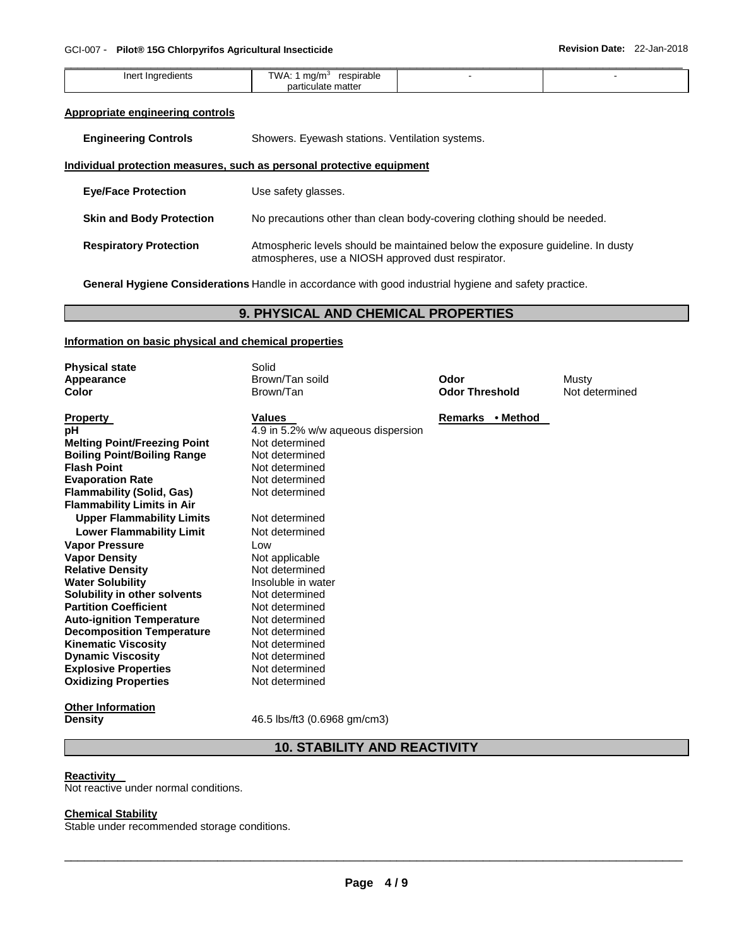| - Iner<br>11 F<br>ີ | ma/m <sup>3</sup><br>ו ואו<br>rocn<br>rabie<br>. . |  |
|---------------------|----------------------------------------------------|--|
|                     | no<br>mattel<br>◡                                  |  |

#### **Appropriate engineering controls**

**Engineering Controls Showers. Eyewash stations. Ventilation systems.** 

#### **Individual protection measures, such as personal protective equipment**

| <b>Eye/Face Protection</b>      | Use safety glasses.                                                                                                                  |
|---------------------------------|--------------------------------------------------------------------------------------------------------------------------------------|
| <b>Skin and Body Protection</b> | No precautions other than clean body-covering clothing should be needed.                                                             |
| <b>Respiratory Protection</b>   | Atmospheric levels should be maintained below the exposure quideline. In dusty<br>atmospheres, use a NIOSH approved dust respirator. |

**General Hygiene Considerations** Handle in accordance with good industrial hygiene and safety practice.

#### **9. PHYSICAL AND CHEMICAL PROPERTIES**

#### **Information on basic physical and chemical properties**

| <b>Physical state</b>               | Solid                              |                       |                |
|-------------------------------------|------------------------------------|-----------------------|----------------|
| Appearance                          | Brown/Tan soild                    | Odor                  | Musty          |
| Color                               | Brown/Tan                          | <b>Odor Threshold</b> | Not determined |
| <b>Property</b>                     | <b>Values</b>                      | Remarks • Method      |                |
| рH                                  | 4.9 in 5.2% w/w aqueous dispersion |                       |                |
| <b>Melting Point/Freezing Point</b> | Not determined                     |                       |                |
| <b>Boiling Point/Boiling Range</b>  | Not determined                     |                       |                |
| <b>Flash Point</b>                  | Not determined                     |                       |                |
| <b>Evaporation Rate</b>             | Not determined                     |                       |                |
| <b>Flammability (Solid, Gas)</b>    | Not determined                     |                       |                |
| <b>Flammability Limits in Air</b>   |                                    |                       |                |
| <b>Upper Flammability Limits</b>    | Not determined                     |                       |                |
| <b>Lower Flammability Limit</b>     | Not determined                     |                       |                |
| <b>Vapor Pressure</b>               | Low                                |                       |                |
| <b>Vapor Density</b>                | Not applicable                     |                       |                |
| <b>Relative Density</b>             | Not determined                     |                       |                |
| <b>Water Solubility</b>             | Insoluble in water                 |                       |                |
| Solubility in other solvents        | Not determined                     |                       |                |
| <b>Partition Coefficient</b>        | Not determined                     |                       |                |
| <b>Auto-ignition Temperature</b>    | Not determined                     |                       |                |
| <b>Decomposition Temperature</b>    | Not determined                     |                       |                |
| <b>Kinematic Viscosity</b>          | Not determined                     |                       |                |
| <b>Dynamic Viscosity</b>            | Not determined                     |                       |                |
| <b>Explosive Properties</b>         | Not determined                     |                       |                |
| <b>Oxidizing Properties</b>         | Not determined                     |                       |                |
| <b>Other Information</b>            |                                    |                       |                |

**Density 16.5** lbs/ft3 (0.6968 gm/cm3)

#### **10. STABILITY AND REACTIVITY**

#### **Reactivity**

Not reactive under normal conditions.

#### **Chemical Stability**

Stable under recommended storage conditions.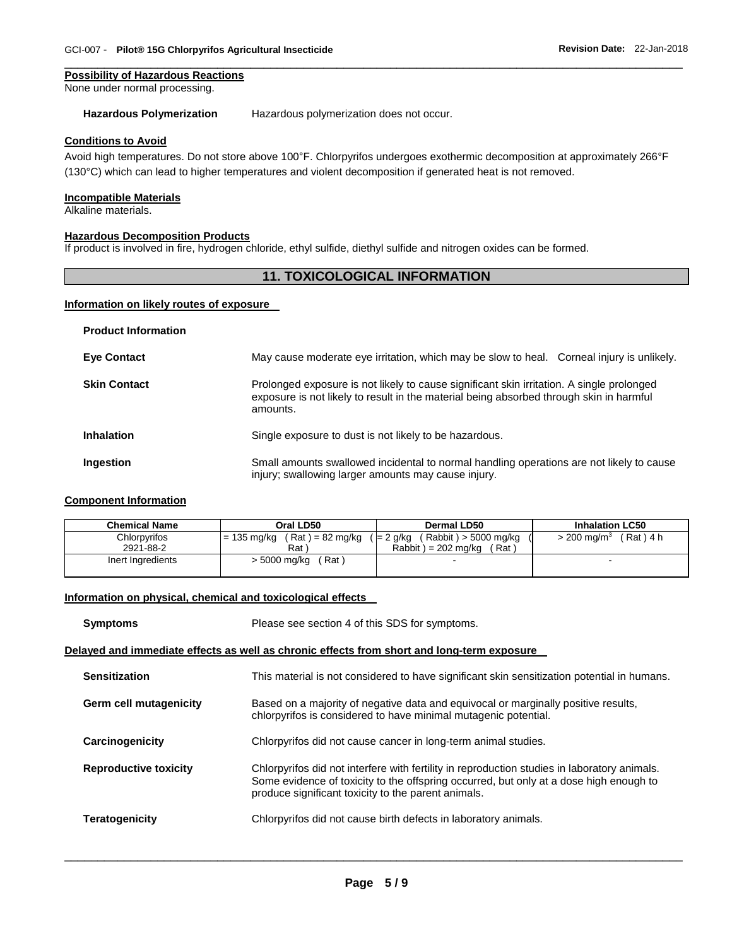#### **Possibility of Hazardous Reactions**

None under normal processing.

#### **Hazardous Polymerization** Hazardous polymerization does not occur.

#### **Conditions to Avoid**

Avoid high temperatures. Do not store above 100°F. Chlorpyrifos undergoes exothermic decomposition at approximately 266°F (130°C) which can lead to higher temperatures and violent decomposition if generated heat is not removed.

\_\_\_\_\_\_\_\_\_\_\_\_\_\_\_\_\_\_\_\_\_\_\_\_\_\_\_\_\_\_\_\_\_\_\_\_\_\_\_\_\_\_\_\_\_\_\_\_\_\_\_\_\_\_\_\_\_\_\_\_\_\_\_\_\_\_\_\_\_\_\_\_\_\_\_\_\_\_\_\_\_\_\_\_\_\_\_\_\_\_\_\_\_

#### **Incompatible Materials**

Alkaline materials.

#### **Hazardous Decomposition Products**

If product is involved in fire, hydrogen chloride, ethyl sulfide, diethyl sulfide and nitrogen oxides can be formed.

#### **11. TOXICOLOGICAL INFORMATION**

#### **Information on likely routes of exposure**

| <b>Product Information</b> |                                                                                                                                                                                                  |
|----------------------------|--------------------------------------------------------------------------------------------------------------------------------------------------------------------------------------------------|
| <b>Eye Contact</b>         | May cause moderate eye irritation, which may be slow to heal. Corneal injury is unlikely.                                                                                                        |
| <b>Skin Contact</b>        | Prolonged exposure is not likely to cause significant skin irritation. A single prolonged<br>exposure is not likely to result in the material being absorbed through skin in harmful<br>amounts. |
| <b>Inhalation</b>          | Single exposure to dust is not likely to be hazardous.                                                                                                                                           |
| Ingestion                  | Small amounts swallowed incidental to normal handling operations are not likely to cause<br>injury; swallowing larger amounts may cause injury.                                                  |

#### **Component Information**

| <b>Chemical Name</b> | Oral LD50                      | Dermal LD50                         | <b>Inhalation LC50</b>           |
|----------------------|--------------------------------|-------------------------------------|----------------------------------|
| Chlorpyrifos         | $= 135$ mg/kg (Rat) = 82 mg/kg | (Rabbit) > 5000 mg/kg<br>' = 2 g/kg | $>$ 200 mg/m $^3$<br>$(Rat)$ 4 h |
| 2921-88-2            | Rat `                          | Rabbit $) = 202$ mg/kg<br>(Rat)     |                                  |
| Inert Ingredients    | (Rat)<br>> 5000 mg/kg          |                                     | -                                |

#### **Information on physical, chemical and toxicological effects**

| <b>Symptoms</b>              | Please see section 4 of this SDS for symptoms.                                                                                                                                                                                                |  |  |
|------------------------------|-----------------------------------------------------------------------------------------------------------------------------------------------------------------------------------------------------------------------------------------------|--|--|
|                              | Delayed and immediate effects as well as chronic effects from short and long-term exposure                                                                                                                                                    |  |  |
| <b>Sensitization</b>         | This material is not considered to have significant skin sensitization potential in humans.                                                                                                                                                   |  |  |
| Germ cell mutagenicity       | Based on a majority of negative data and equivocal or marginally positive results,<br>chlorpyrifos is considered to have minimal mutagenic potential.                                                                                         |  |  |
| Carcinogenicity              | Chlorpyrifos did not cause cancer in long-term animal studies.                                                                                                                                                                                |  |  |
| <b>Reproductive toxicity</b> | Chlorpyrifos did not interfere with fertility in reproduction studies in laboratory animals.<br>Some evidence of toxicity to the offspring occurred, but only at a dose high enough to<br>produce significant toxicity to the parent animals. |  |  |
| <b>Teratogenicity</b>        | Chlorpyrifos did not cause birth defects in laboratory animals.                                                                                                                                                                               |  |  |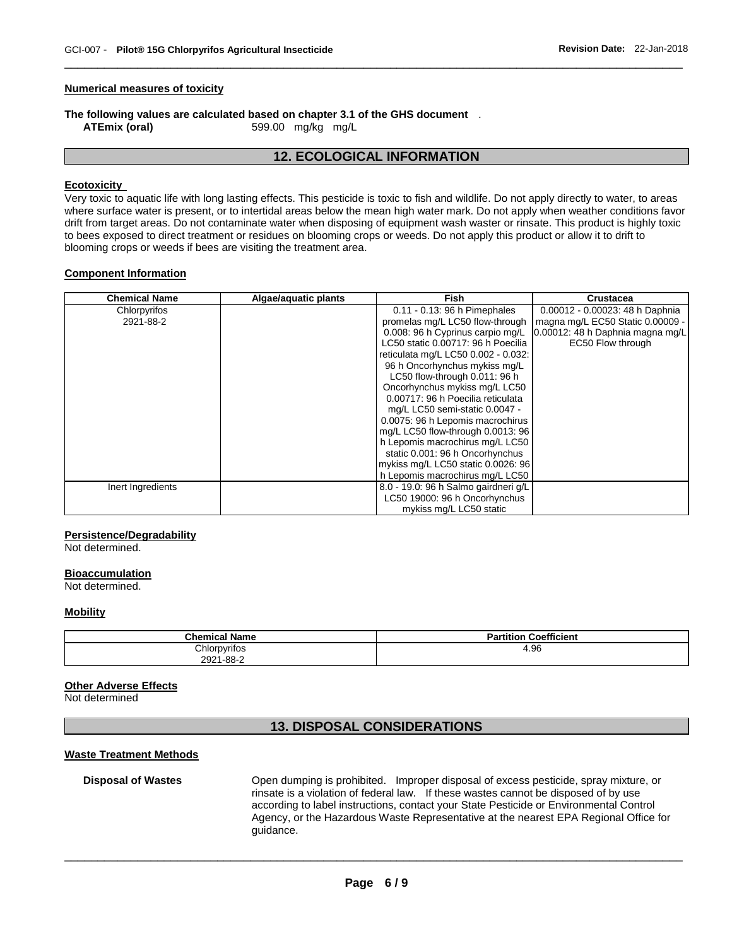#### **Numerical measures of toxicity**

## **The following values are calculated based on chapter 3.1 of the GHS document** .<br>ATEmix (oral) 599.00 mg/kg mg/L

**ATEmix (oral)** 599.00 mg/kg mg/L

#### **12. ECOLOGICAL INFORMATION**

\_\_\_\_\_\_\_\_\_\_\_\_\_\_\_\_\_\_\_\_\_\_\_\_\_\_\_\_\_\_\_\_\_\_\_\_\_\_\_\_\_\_\_\_\_\_\_\_\_\_\_\_\_\_\_\_\_\_\_\_\_\_\_\_\_\_\_\_\_\_\_\_\_\_\_\_\_\_\_\_\_\_\_\_\_\_\_\_\_\_\_\_\_

#### **Ecotoxicity**

Very toxic to aquatic life with long lasting effects. This pesticide is toxic to fish and wildlife. Do not apply directly to water, to areas where surface water is present, or to intertidal areas below the mean high water mark. Do not apply when weather conditions favor drift from target areas. Do not contaminate water when disposing of equipment wash waster or rinsate. This product is highly toxic to bees exposed to direct treatment or residues on blooming crops or weeds. Do not apply this product or allow it to drift to blooming crops or weeds if bees are visiting the treatment area.

#### **Component Information**

| <b>Chemical Name</b> | Algae/aquatic plants | <b>Fish</b>                          | <b>Crustacea</b>                 |
|----------------------|----------------------|--------------------------------------|----------------------------------|
| Chlorpyrifos         |                      | 0.11 - 0.13: 96 h Pimephales         | 0.00012 - 0.00023: 48 h Daphnia  |
| 2921-88-2            |                      | promelas mg/L LC50 flow-through      | magna mg/L EC50 Static 0.00009 - |
|                      |                      | 0.008: 96 h Cyprinus carpio mg/L     | 0.00012: 48 h Daphnia magna mg/L |
|                      |                      | LC50 static 0.00717: 96 h Poecilia   | EC50 Flow through                |
|                      |                      | reticulata mg/L LC50 0.002 - 0.032:  |                                  |
|                      |                      | 96 h Oncorhynchus mykiss mg/L        |                                  |
|                      |                      | LC50 flow-through 0.011: 96 h        |                                  |
|                      |                      | Oncorhynchus mykiss mg/L LC50        |                                  |
|                      |                      | 0.00717: 96 h Poecilia reticulata    |                                  |
|                      |                      | mg/L LC50 semi-static 0.0047 -       |                                  |
|                      |                      | 0.0075: 96 h Lepomis macrochirus     |                                  |
|                      |                      | mg/L LC50 flow-through 0.0013: 96    |                                  |
|                      |                      | h Lepomis macrochirus mg/L LC50      |                                  |
|                      |                      | static 0.001: 96 h Oncorhynchus      |                                  |
|                      |                      | mykiss mg/L LC50 static 0.0026: 96   |                                  |
|                      |                      | h Lepomis macrochirus mg/L LC50      |                                  |
| Inert Ingredients    |                      | 8.0 - 19.0: 96 h Salmo gairdneri g/L |                                  |
|                      |                      | LC50 19000: 96 h Oncorhynchus        |                                  |
|                      |                      | mykiss mg/L LC50 static              |                                  |

#### **Persistence/Degradability**

Not determined.

#### **Bioaccumulation**

Not determined.

#### **Mobility**

| <b>Chemical Name</b> | <b>Coefficient</b><br>Partition |
|----------------------|---------------------------------|
| Chlorpyrifos         | 4.96                            |
| 2921-88-2            |                                 |

#### **Other Adverse Effects**

Not determined

#### **13. DISPOSAL CONSIDERATIONS**

#### **Waste Treatment Methods**

**Disposal of Wastes** Open dumping is prohibited. Improper disposal of excess pesticide, spray mixture, or rinsate is a violation of federal law. If these wastes cannot be disposed of by use according to label instructions, contact your State Pesticide or Environmental Control Agency, or the Hazardous Waste Representative at the nearest EPA Regional Office for guidance.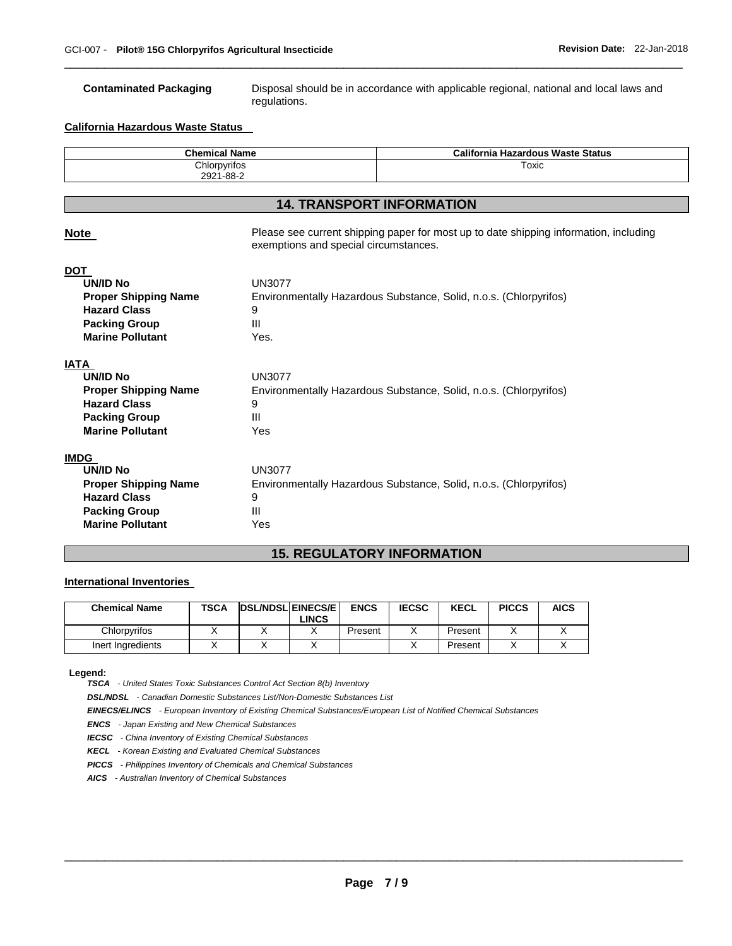**Contaminated Packaging** Disposal should be in accordance with applicable regional, national and local laws and regulations.

#### **California Hazardous Waste Status**

| <b>Chemical Name</b> | <b>California Hazardous Waste Status</b> |
|----------------------|------------------------------------------|
| Chlorpyrifos         | Гохіс<br>$\sim$ $\sim$                   |
| 2921-88-2            |                                          |

\_\_\_\_\_\_\_\_\_\_\_\_\_\_\_\_\_\_\_\_\_\_\_\_\_\_\_\_\_\_\_\_\_\_\_\_\_\_\_\_\_\_\_\_\_\_\_\_\_\_\_\_\_\_\_\_\_\_\_\_\_\_\_\_\_\_\_\_\_\_\_\_\_\_\_\_\_\_\_\_\_\_\_\_\_\_\_\_\_\_\_\_\_

#### **14. TRANSPORT INFORMATION**

| <b>Note</b>                                                                                                                             | Please see current shipping paper for most up to date shipping information, including<br>exemptions and special circumstances. |
|-----------------------------------------------------------------------------------------------------------------------------------------|--------------------------------------------------------------------------------------------------------------------------------|
| <b>DOT</b><br><b>UN/ID No</b><br><b>Proper Shipping Name</b><br><b>Hazard Class</b><br><b>Packing Group</b><br><b>Marine Pollutant</b>  | <b>UN3077</b><br>Environmentally Hazardous Substance, Solid, n.o.s. (Chlorpyrifos)<br>9<br>$\mathbf{H}$<br>Yes.                |
| IATA<br><b>UN/ID No</b><br><b>Proper Shipping Name</b><br><b>Hazard Class</b><br><b>Packing Group</b><br><b>Marine Pollutant</b>        | <b>UN3077</b><br>Environmentally Hazardous Substance, Solid, n.o.s. (Chlorpyrifos)<br>9<br>Ш<br>Yes                            |
| <b>IMDG</b><br><b>UN/ID No</b><br><b>Proper Shipping Name</b><br><b>Hazard Class</b><br><b>Packing Group</b><br><b>Marine Pollutant</b> | <b>UN3077</b><br>Environmentally Hazardous Substance, Solid, n.o.s. (Chlorpyrifos)<br>9<br>Ш<br>Yes                            |

### **15. REGULATORY INFORMATION**

#### **International Inventories**

| <b>Chemical Name</b> | <b>TSCA</b> | <b>DSL/NDSL EINECS/E</b> | <b>ENCS</b> | <b>IECSC</b> | <b>KECL</b> | <b>PICCS</b> | <b>AICS</b> |
|----------------------|-------------|--------------------------|-------------|--------------|-------------|--------------|-------------|
|                      |             | LINCS.                   |             |              |             |              |             |
| Chlorpyrifos         |             |                          | Present     |              | Present     |              |             |
| Inert Ingredients    |             |                          |             |              | Present     |              |             |

#### **Legend:**

*TSCA - United States Toxic Substances Control Act Section 8(b) Inventory* 

*DSL/NDSL - Canadian Domestic Substances List/Non-Domestic Substances List* 

*EINECS/ELINCS - European Inventory of Existing Chemical Substances/European List of Notified Chemical Substances* 

*ENCS - Japan Existing and New Chemical Substances* 

*IECSC - China Inventory of Existing Chemical Substances* 

*KECL - Korean Existing and Evaluated Chemical Substances* 

*PICCS - Philippines Inventory of Chemicals and Chemical Substances* 

*AICS - Australian Inventory of Chemical Substances*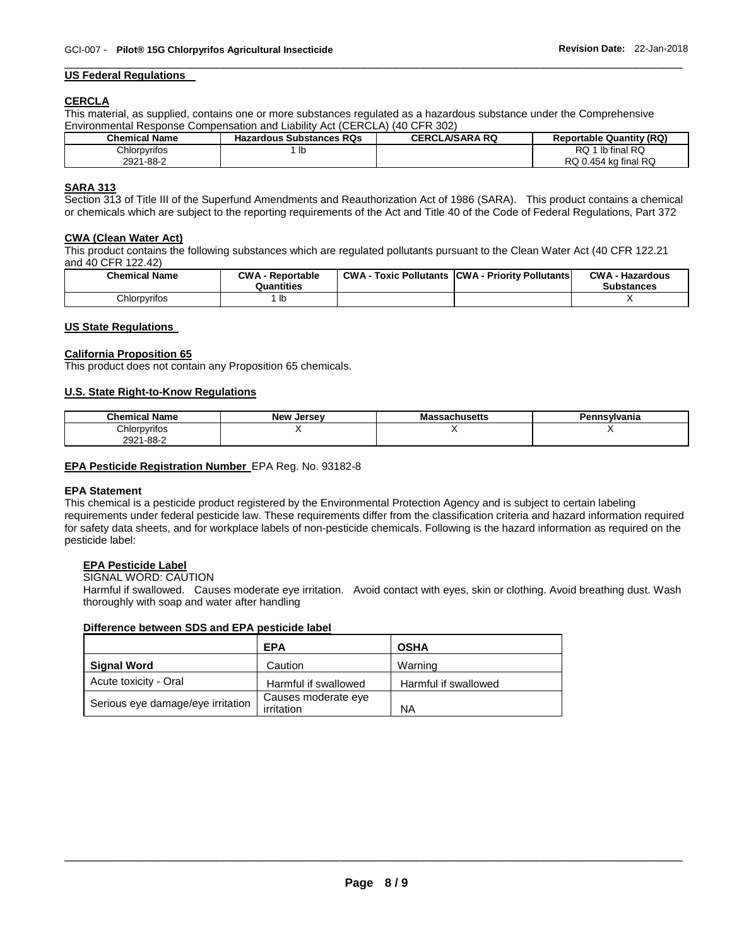#### **US Federal Regulations**

#### **CERCLA**

This material, as supplied, contains one or more substances regulated as a hazardous substance under the Comprehensive Environmental Response Compensation and Liability Act (CERCLA) (40 CFR 302)

| <b>Chemical Name</b> | <b>Hazardous Substances RQs</b> | <b>CERCLA/SARA RQ</b> | <b>Reportable Quantity (RQ)</b> |
|----------------------|---------------------------------|-----------------------|---------------------------------|
| Chlorpyrifos         | -lb                             |                       | 1 lb final RQ<br><b>RQ</b>      |
| 2921-88-2            |                                 |                       | RQ 0.454 kg final RQ            |

\_\_\_\_\_\_\_\_\_\_\_\_\_\_\_\_\_\_\_\_\_\_\_\_\_\_\_\_\_\_\_\_\_\_\_\_\_\_\_\_\_\_\_\_\_\_\_\_\_\_\_\_\_\_\_\_\_\_\_\_\_\_\_\_\_\_\_\_\_\_\_\_\_\_\_\_\_\_\_\_\_\_\_\_\_\_\_\_\_\_\_\_\_

#### **SARA 313**

Section 313 of Title III of the Superfund Amendments and Reauthorization Act of 1986 (SARA). This product contains a chemical or chemicals which are subject to the reporting requirements of the Act and Title 40 of the Code of Federal Regulations, Part 372

#### **CWA (Clean Water Act)**

This product contains the following substances which are regulated pollutants pursuant to the Clean Water Act (40 CFR 122.21 and 40 CFR 122.42)

| <b>Chemical Name</b> | <b>CWA - Reportable</b><br>Quantities | CWA- | Toxic Pollutants CWA - Priority Pollutants | <b>CWA - Hazardous</b><br>Substances |
|----------------------|---------------------------------------|------|--------------------------------------------|--------------------------------------|
| Chlorpyrifos         | lb                                    |      |                                            |                                      |

#### **US State Regulations**

#### **California Proposition 65**

This product does not contain any Proposition 65 chemicals.

#### **U.S. State Right-to-Know Regulations**

| <b>Chemical Name</b> | <b>New Jersey</b> | ssachusetts<br>ma: | Pennsvlvania |
|----------------------|-------------------|--------------------|--------------|
| Chlorpyrifos         |                   |                    |              |
| 2921-88-2            |                   |                    |              |

#### **EPA Pesticide Registration Number** EPA Reg. No. 93182-8

#### **EPA Statement**

This chemical is a pesticide product registered by the Environmental Protection Agency and is subject to certain labeling requirements under federal pesticide law. These requirements differ from the classification criteria and hazard information required for safety data sheets, and for workplace labels of non-pesticide chemicals. Following is the hazard information as required on the pesticide label:

#### **EPA Pesticide Label**

#### SIGNAL WORD: CAUTION

Harmful if swallowed. Causes moderate eye irritation. Avoid contact with eyes, skin or clothing. Avoid breathing dust. Wash thoroughly with soap and water after handling

#### **Difference between SDS and EPA pesticide label**

|                                   | <b>EPA</b>                        | <b>OSHA</b>          |
|-----------------------------------|-----------------------------------|----------------------|
| <b>Signal Word</b>                | Caution                           | Warning              |
| Acute toxicity - Oral             | Harmful if swallowed              | Harmful if swallowed |
| Serious eye damage/eye irritation | Causes moderate eye<br>irritation | <b>NA</b>            |